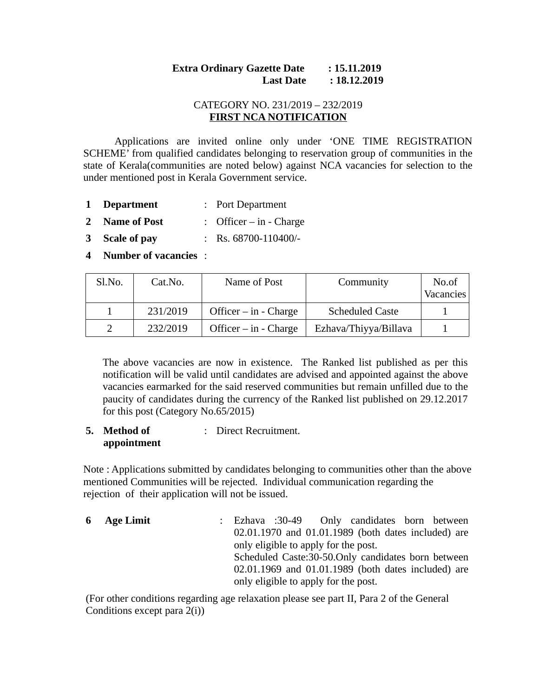# **Extra Ordinary Gazette Date : 15.11.2019**  *Last Date* : 18.12.2019

# CATEGORY NO. 231/2019 – 232/2019 **FIRST NCA NOTIFICATION**

Applications are invited online only under 'ONE TIME REGISTRATION SCHEME' from qualified candidates belonging to reservation group of communities in the state of Kerala(communities are noted below) against NCA vacancies for selection to the under mentioned post in Kerala Government service.

- **1 Department** : Port Department
- **2 Name of Post** : Officer in Charge
- **3 Scale of pay** : Rs. 68700-110400/-
- **4 Number of vacancies** :

| Sl.No. | Cat.No.  | Name of Post              | Community              | No.of<br>Vacancies |
|--------|----------|---------------------------|------------------------|--------------------|
|        | 231/2019 | Officer $-$ in $-$ Charge | <b>Scheduled Caste</b> |                    |
|        | 232/2019 | Officer $-$ in $-$ Charge | Ezhava/Thiyya/Billava  |                    |

The above vacancies are now in existence. The Ranked list published as per this notification will be valid until candidates are advised and appointed against the above vacancies earmarked for the said reserved communities but remain unfilled due to the paucity of candidates during the currency of the Ranked list published on 29.12.2017 for this post (Category No.65/2015)

#### **5. Method of appointment** : Direct Recruitment.

Note : Applications submitted by candidates belonging to communities other than the above mentioned Communities will be rejected. Individual communication regarding the rejection of their application will not be issued.

| 6 Age Limit |                                                                                             |  |                                      |  | : Ezhava :30-49 Only candidates born between         |  |
|-------------|---------------------------------------------------------------------------------------------|--|--------------------------------------|--|------------------------------------------------------|--|
|             | 02.01.1970 and 01.01.1989 (both dates included) are<br>only eligible to apply for the post. |  |                                      |  |                                                      |  |
|             |                                                                                             |  |                                      |  |                                                      |  |
|             |                                                                                             |  |                                      |  | Scheduled Caste: 30-50. Only candidates born between |  |
|             |                                                                                             |  |                                      |  | 02.01.1969 and 01.01.1989 (both dates included) are  |  |
|             |                                                                                             |  | only eligible to apply for the post. |  |                                                      |  |

(For other conditions regarding age relaxation please see part II, Para 2 of the General Conditions except para 2(i))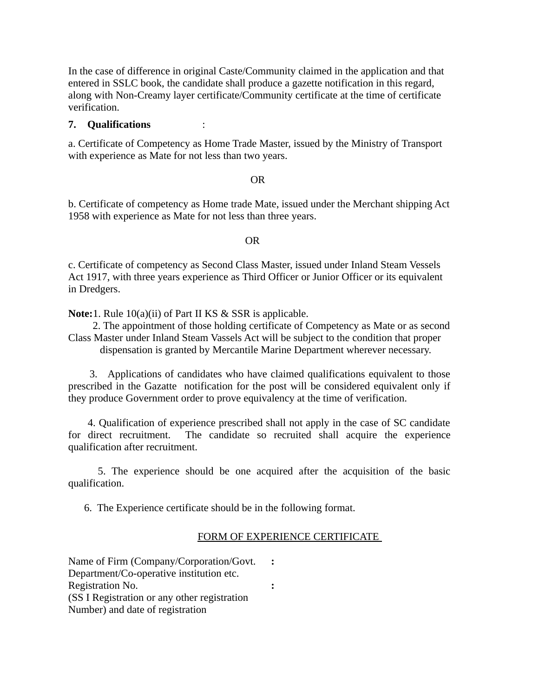In the case of difference in original Caste/Community claimed in the application and that entered in SSLC book, the candidate shall produce a gazette notification in this regard, along with Non-Creamy layer certificate/Community certificate at the time of certificate verification.

#### **7. Qualifications** :

a. Certificate of Competency as Home Trade Master, issued by the Ministry of Transport with experience as Mate for not less than two years.

#### **OR** Service Service Service Service Service Service Service Service Service Service Service Service Service Service Service Service Service Service Service Service Service Service Service Service Service Service Service S

b. Certificate of competency as Home trade Mate, issued under the Merchant shipping Act 1958 with experience as Mate for not less than three years.

#### **OR** Service Service Service Service Service Service Service Service Service Service Service Service Service Service Service Service Service Service Service Service Service Service Service Service Service Service Service S

c. Certificate of competency as Second Class Master, issued under Inland Steam Vessels Act 1917, with three years experience as Third Officer or Junior Officer or its equivalent in Dredgers.

**Note:**1. Rule 10(a)(ii) of Part II KS & SSR is applicable.

 2. The appointment of those holding certificate of Competency as Mate or as second Class Master under Inland Steam Vassels Act will be subject to the condition that proper dispensation is granted by Mercantile Marine Department wherever necessary.

 3. Applications of candidates who have claimed qualifications equivalent to those prescribed in the Gazatte notification for the post will be considered equivalent only if they produce Government order to prove equivalency at the time of verification.

 4. Qualification of experience prescribed shall not apply in the case of SC candidate for direct recruitment. The candidate so recruited shall acquire the experience qualification after recruitment.

 5. The experience should be one acquired after the acquisition of the basic qualification.

6. The Experience certificate should be in the following format.

### FORM OF EXPERIENCE CERTIFICATE

Name of Firm (Company/Corporation/Govt. Department/Co-operative institution etc. **:** Registration No. (SS I Registration or any other registration Number) and date of registration **:**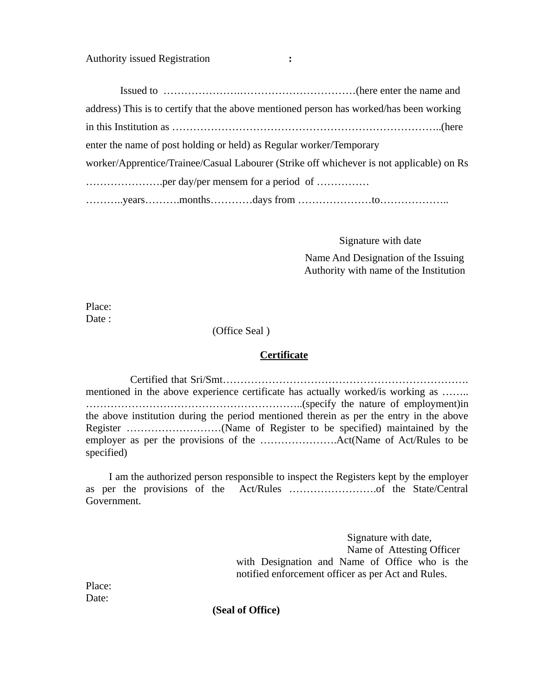Authority issued Registration **:**

 Issued to ………………….……………………………(here enter the name and address) This is to certify that the above mentioned person has worked/has been working in this Institution as …………………………………………………………………..(here enter the name of post holding or held) as Regular worker/Temporary worker/Apprentice/Trainee/Casual Labourer (Strike off whichever is not applicable) on Rs ………………….per day/per mensem for a period of …………… ………..years……….months…………days from …………………to………………..

Signature with date

 Name And Designation of the Issuing Authority with name of the Institution

Place: Date :

(Office Seal )

### **Certificate**

 Certified that Sri/Smt……………………………………………………………. mentioned in the above experience certificate has actually worked/is working as ........ ……………………………………………………..(specify the nature of employment)in the above institution during the period mentioned therein as per the entry in the above Register ………………………(Name of Register to be specified) maintained by the employer as per the provisions of the ………………….Act(Name of Act/Rules to be specified)

 I am the authorized person responsible to inspect the Registers kept by the employer as per the provisions of the Act/Rules …………………….of the State/Central Government.

> Signature with date, Name of Attesting Officer with Designation and Name of Office who is the notified enforcement officer as per Act and Rules.

Place: Date:

**(Seal of Office)**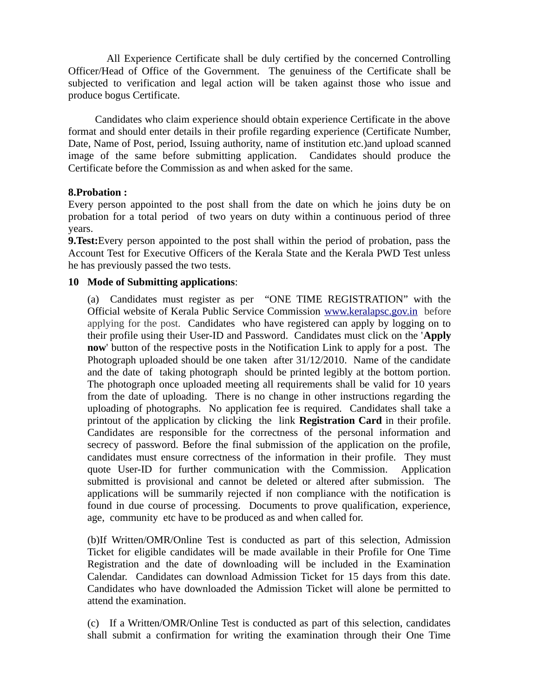All Experience Certificate shall be duly certified by the concerned Controlling Officer/Head of Office of the Government. The genuiness of the Certificate shall be subjected to verification and legal action will be taken against those who issue and produce bogus Certificate.

 Candidates who claim experience should obtain experience Certificate in the above format and should enter details in their profile regarding experience (Certificate Number, Date, Name of Post, period, Issuing authority, name of institution etc.)and upload scanned image of the same before submitting application. Candidates should produce the Certificate before the Commission as and when asked for the same.

## **8.Probation :**

Every person appointed to the post shall from the date on which he joins duty be on probation for a total period of two years on duty within a continuous period of three years.

**9.Test:**Every person appointed to the post shall within the period of probation, pass the Account Test for Executive Officers of the Kerala State and the Kerala PWD Test unless he has previously passed the two tests.

## **10 Mode of Submitting applications**:

(a) Candidates must register as per "ONE TIME REGISTRATION" with the Official website of Kerala Public Service Commission www.keralapsc.gov.inbefore applying for the post. Candidates who have registered can apply by logging on to their profile using their User-ID and Password. Candidates must click on the '**Apply now**' button of the respective posts in the Notification Link to apply for a post. The Photograph uploaded should be one taken after 31/12/2010. Name of the candidate and the date of taking photograph should be printed legibly at the bottom portion. The photograph once uploaded meeting all requirements shall be valid for 10 years from the date of uploading. There is no change in other instructions regarding the uploading of photographs. No application fee is required. Candidates shall take a printout of the application by clicking the link **Registration Card** in their profile. Candidates are responsible for the correctness of the personal information and secrecy of password. Before the final submission of the application on the profile, candidates must ensure correctness of the information in their profile. They must quote User-ID for further communication with the Commission. Application submitted is provisional and cannot be deleted or altered after submission. The applications will be summarily rejected if non compliance with the notification is found in due course of processing. Documents to prove qualification, experience, age, community etc have to be produced as and when called for.

(b)If Written/OMR/Online Test is conducted as part of this selection, Admission Ticket for eligible candidates will be made available in their Profile for One Time Registration and the date of downloading will be included in the Examination Calendar. Candidates can download Admission Ticket for 15 days from this date. Candidates who have downloaded the Admission Ticket will alone be permitted to attend the examination.

(c) If a Written/OMR/Online Test is conducted as part of this selection, candidates shall submit a confirmation for writing the examination through their One Time